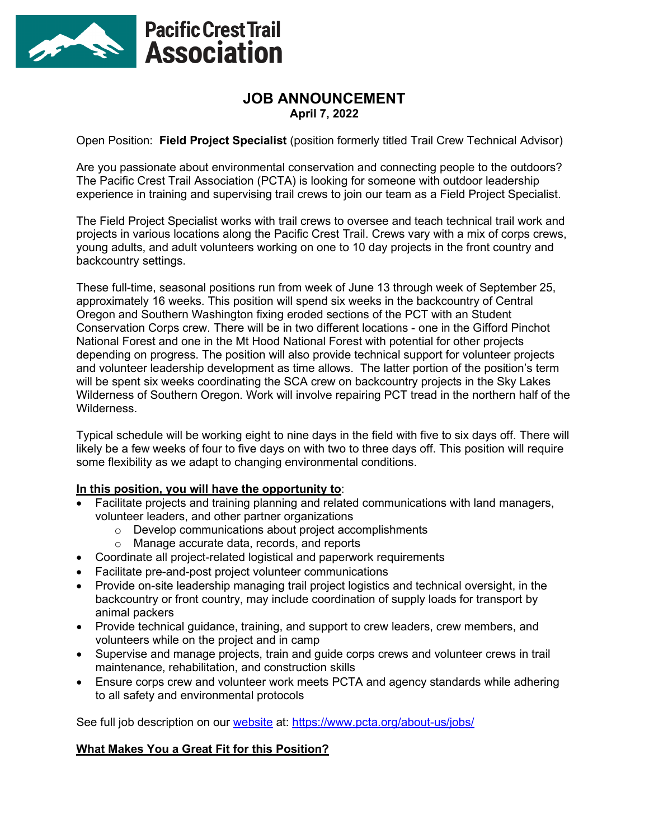

# **JOB ANNOUNCEMENT April 7, 2022**

Open Position: **Field Project Specialist** (position formerly titled Trail Crew Technical Advisor)

Are you passionate about environmental conservation and connecting people to the outdoors? The Pacific Crest Trail Association (PCTA) is looking for someone with outdoor leadership experience in training and supervising trail crews to join our team as a Field Project Specialist.

The Field Project Specialist works with trail crews to oversee and teach technical trail work and projects in various locations along the Pacific Crest Trail. Crews vary with a mix of corps crews, young adults, and adult volunteers working on one to 10 day projects in the front country and backcountry settings.

These full-time, seasonal positions run from week of June 13 through week of September 25, approximately 16 weeks. This position will spend six weeks in the backcountry of Central Oregon and Southern Washington fixing eroded sections of the PCT with an Student Conservation Corps crew. There will be in two different locations - one in the Gifford Pinchot National Forest and one in the Mt Hood National Forest with potential for other projects depending on progress. The position will also provide technical support for volunteer projects and volunteer leadership development as time allows. The latter portion of the position's term will be spent six weeks coordinating the SCA crew on backcountry projects in the Sky Lakes Wilderness of Southern Oregon. Work will involve repairing PCT tread in the northern half of the Wilderness.

Typical schedule will be working eight to nine days in the field with five to six days off. There will likely be a few weeks of four to five days on with two to three days off. This position will require some flexibility as we adapt to changing environmental conditions.

### **In this position, you will have the opportunity to**:

- Facilitate projects and training planning and related communications with land managers, volunteer leaders, and other partner organizations
	- o Develop communications about project accomplishments
	- o Manage accurate data, records, and reports
- Coordinate all project-related logistical and paperwork requirements
- Facilitate pre-and-post project volunteer communications
- Provide on-site leadership managing trail project logistics and technical oversight, in the backcountry or front country, may include coordination of supply loads for transport by animal packers
- Provide technical guidance, training, and support to crew leaders, crew members, and volunteers while on the project and in camp
- Supervise and manage projects, train and guide corps crews and volunteer crews in trail maintenance, rehabilitation, and construction skills
- Ensure corps crew and volunteer work meets PCTA and agency standards while adhering to all safety and environmental protocols

See full job description on our [website](https://www.pcta.org/about-us/jobs/) at: https://www.pcta.org/about-us/jobs/

### **What Makes You a Great Fit for this Position?**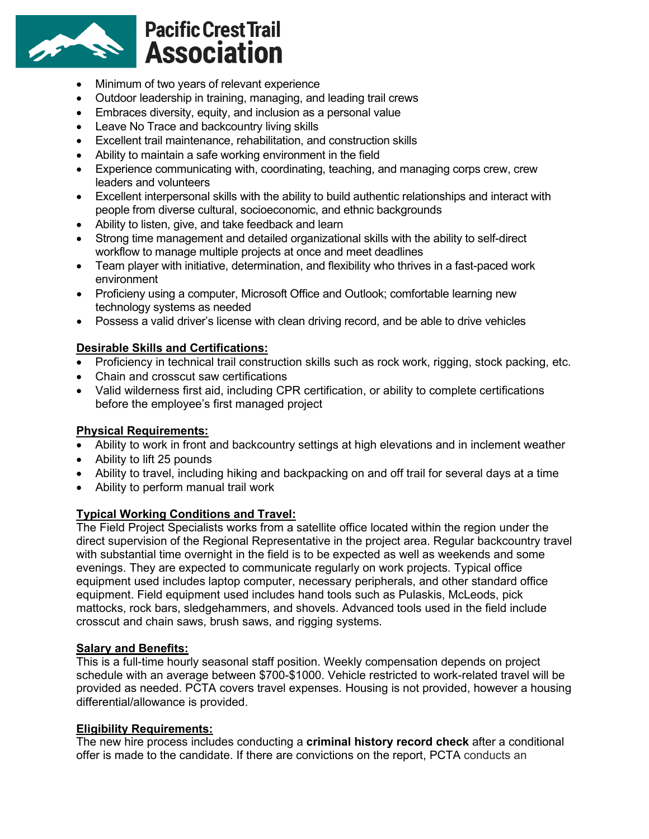

- Minimum of two years of relevant experience
- Outdoor leadership in training, managing, and leading trail crews
- Embraces diversity, equity, and inclusion as a personal value
- Leave No Trace and backcountry living skills
- Excellent trail maintenance, rehabilitation, and construction skills
- Ability to maintain a safe working environment in the field
- Experience communicating with, coordinating, teaching, and managing corps crew, crew leaders and volunteers
- Excellent interpersonal skills with the ability to build authentic relationships and interact with people from diverse cultural, socioeconomic, and ethnic backgrounds
- Ability to listen, give, and take feedback and learn
- Strong time management and detailed organizational skills with the ability to self-direct workflow to manage multiple projects at once and meet deadlines
- Team player with initiative, determination, and flexibility who thrives in a fast-paced work environment
- Proficieny using a computer, Microsoft Office and Outlook; comfortable learning new technology systems as needed
- Possess a valid driver's license with clean driving record, and be able to drive vehicles

## **Desirable Skills and Certifications:**

- Proficiency in technical trail construction skills such as rock work, rigging, stock packing, etc.
- Chain and crosscut saw certifications
- Valid wilderness first aid, including CPR certification, or ability to complete certifications before the employee's first managed project

### **Physical Requirements:**

- Ability to work in front and backcountry settings at high elevations and in inclement weather
- Ability to lift 25 pounds
- Ability to travel, including hiking and backpacking on and off trail for several days at a time
- Ability to perform manual trail work

### **Typical Working Conditions and Travel:**

The Field Project Specialists works from a satellite office located within the region under the direct supervision of the Regional Representative in the project area. Regular backcountry travel with substantial time overnight in the field is to be expected as well as weekends and some evenings. They are expected to communicate regularly on work projects. Typical office equipment used includes laptop computer, necessary peripherals, and other standard office equipment. Field equipment used includes hand tools such as Pulaskis, McLeods, pick mattocks, rock bars, sledgehammers, and shovels. Advanced tools used in the field include crosscut and chain saws, brush saws, and rigging systems.

### **Salary and Benefits:**

This is a full-time hourly seasonal staff position. Weekly compensation depends on project schedule with an average between \$700-\$1000. Vehicle restricted to work-related travel will be provided as needed. PCTA covers travel expenses. Housing is not provided, however a housing differential/allowance is provided.

### **Eligibility Requirements:**

The new hire process includes conducting a **criminal history record check** after a conditional offer is made to the candidate. If there are convictions on the report, PCTA conducts an